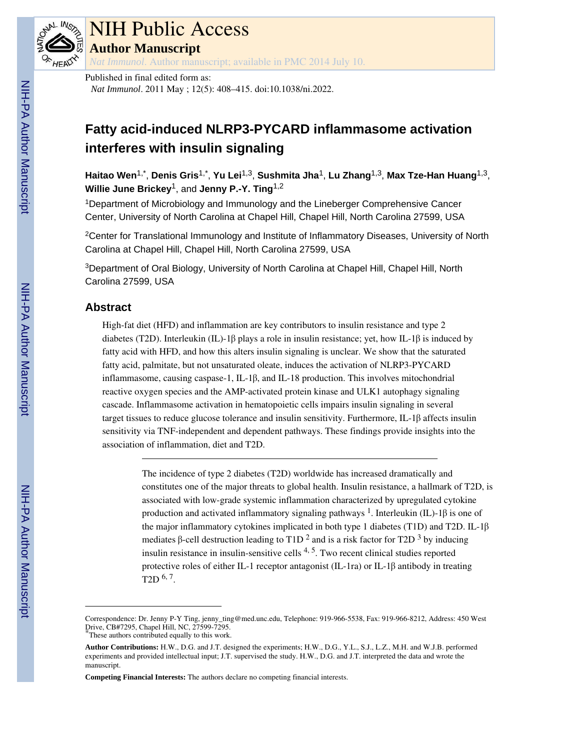

# NIH Public Access

**Author Manuscript**

*Nat Immunol*. Author manuscript; available in PMC 2014 July 10.

Published in final edited form as: *Nat Immunol*. 2011 May ; 12(5): 408–415. doi:10.1038/ni.2022.

# **Fatty acid-induced NLRP3-PYCARD inflammasome activation interferes with insulin signaling**

**Haitao Wen**1,\* , **Denis Gris**1,\* , **Yu Lei**1,3, **Sushmita Jha**1, **Lu Zhang**1,3, **Max Tze-Han Huang**1,3, **Willie June Brickey**1, and **Jenny P.-Y. Ting**1,2

<sup>1</sup>Department of Microbiology and Immunology and the Lineberger Comprehensive Cancer Center, University of North Carolina at Chapel Hill, Chapel Hill, North Carolina 27599, USA

<sup>2</sup>Center for Translational Immunology and Institute of Inflammatory Diseases, University of North Carolina at Chapel Hill, Chapel Hill, North Carolina 27599, USA

<sup>3</sup>Department of Oral Biology, University of North Carolina at Chapel Hill, Chapel Hill, North Carolina 27599, USA

# **Abstract**

High-fat diet (HFD) and inflammation are key contributors to insulin resistance and type 2 diabetes (T2D). Interleukin (IL)-1β plays a role in insulin resistance; yet, how IL-1β is induced by fatty acid with HFD, and how this alters insulin signaling is unclear. We show that the saturated fatty acid, palmitate, but not unsaturated oleate, induces the activation of NLRP3-PYCARD inflammasome, causing caspase-1, IL-1β, and IL-18 production. This involves mitochondrial reactive oxygen species and the AMP-activated protein kinase and ULK1 autophagy signaling cascade. Inflammasome activation in hematopoietic cells impairs insulin signaling in several target tissues to reduce glucose tolerance and insulin sensitivity. Furthermore, IL-1β affects insulin sensitivity via TNF-independent and dependent pathways. These findings provide insights into the association of inflammation, diet and T2D.

> The incidence of type 2 diabetes (T2D) worldwide has increased dramatically and constitutes one of the major threats to global health. Insulin resistance, a hallmark of T2D, is associated with low-grade systemic inflammation characterized by upregulated cytokine production and activated inflammatory signaling pathways <sup>1</sup>. Interleukin (IL)-1 $\beta$  is one of the major inflammatory cytokines implicated in both type 1 diabetes (T1D) and T2D. IL-1β mediates  $\beta$ -cell destruction leading to T1D <sup>2</sup> and is a risk factor for T2D <sup>3</sup> by inducing insulin resistance in insulin-sensitive cells 4, 5. Two recent clinical studies reported protective roles of either IL-1 receptor antagonist (IL-1ra) or IL-1β antibody in treating T2D  $6, 7$ .

Correspondence: Dr. Jenny P-Y Ting, jenny\_ting@med.unc.edu, Telephone: 919-966-5538, Fax: 919-966-8212, Address: 450 West Drive, CB#7295, Chapel Hill, NC, 27599-7295. These authors contributed equally to this work.

**Author Contributions:** H.W., D.G. and J.T. designed the experiments; H.W., D.G., Y.L., S.J., L.Z., M.H. and W.J.B. performed experiments and provided intellectual input; J.T. supervised the study. H.W., D.G. and J.T. interpreted the data and wrote the manuscript.

**Competing Financial Interests:** The authors declare no competing financial interests.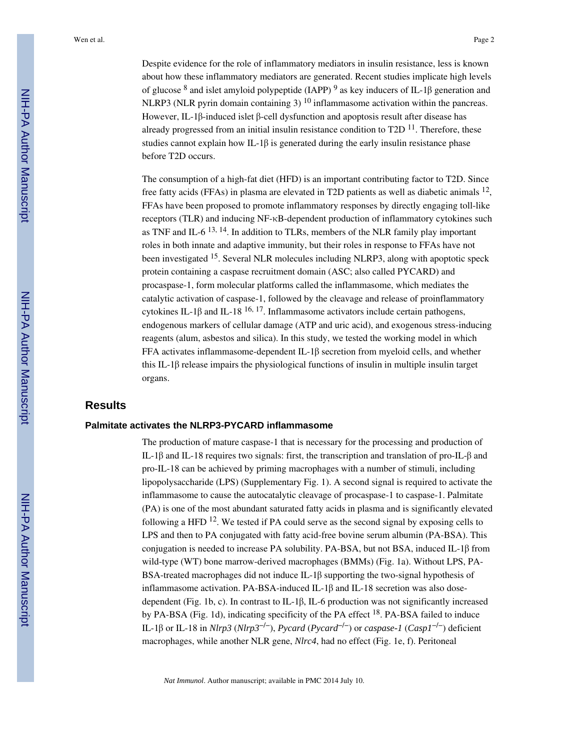Despite evidence for the role of inflammatory mediators in insulin resistance, less is known about how these inflammatory mediators are generated. Recent studies implicate high levels of glucose  $8$  and islet amyloid polypeptide (IAPP)  $9$  as key inducers of IL-1 $\beta$  generation and NLRP3 (NLR pyrin domain containing 3)  $10$  inflammasome activation within the pancreas. However, IL-1β-induced islet β-cell dysfunction and apoptosis result after disease has already progressed from an initial insulin resistance condition to  $T2D<sup>11</sup>$ . Therefore, these studies cannot explain how IL-1β is generated during the early insulin resistance phase before T2D occurs.

The consumption of a high-fat diet (HFD) is an important contributing factor to T2D. Since free fatty acids (FFAs) in plasma are elevated in T2D patients as well as diabetic animals <sup>12</sup>, FFAs have been proposed to promote inflammatory responses by directly engaging toll-like receptors (TLR) and inducing NF-κB-dependent production of inflammatory cytokines such as TNF and IL-6  $^{13, 14}$ . In addition to TLRs, members of the NLR family play important roles in both innate and adaptive immunity, but their roles in response to FFAs have not been investigated <sup>15</sup>. Several NLR molecules including NLRP3, along with apoptotic speck protein containing a caspase recruitment domain (ASC; also called PYCARD) and procaspase-1, form molecular platforms called the inflammasome, which mediates the catalytic activation of caspase-1, followed by the cleavage and release of proinflammatory cytokines IL-1 $\beta$  and IL-18<sup>-16, 17</sup>. Inflammasome activators include certain pathogens, endogenous markers of cellular damage (ATP and uric acid), and exogenous stress-inducing reagents (alum, asbestos and silica). In this study, we tested the working model in which FFA activates inflammasome-dependent IL-1β secretion from myeloid cells, and whether this IL-1β release impairs the physiological functions of insulin in multiple insulin target organs.

#### **Results**

#### **Palmitate activates the NLRP3-PYCARD inflammasome**

The production of mature caspase-1 that is necessary for the processing and production of IL-1β and IL-18 requires two signals: first, the transcription and translation of pro-IL-β and pro-IL-18 can be achieved by priming macrophages with a number of stimuli, including lipopolysaccharide (LPS) (Supplementary Fig. 1). A second signal is required to activate the inflammasome to cause the autocatalytic cleavage of procaspase-1 to caspase-1. Palmitate (PA) is one of the most abundant saturated fatty acids in plasma and is significantly elevated following a HFD  $12$ . We tested if PA could serve as the second signal by exposing cells to LPS and then to PA conjugated with fatty acid-free bovine serum albumin (PA-BSA). This conjugation is needed to increase PA solubility. PA-BSA, but not BSA, induced IL-1 $\beta$  from wild-type (WT) bone marrow-derived macrophages (BMMs) (Fig. 1a). Without LPS, PA-BSA-treated macrophages did not induce IL-1β supporting the two-signal hypothesis of inflammasome activation. PA-BSA-induced IL-1β and IL-18 secretion was also dosedependent (Fig. 1b, c). In contrast to IL-1β, IL-6 production was not significantly increased by PA-BSA (Fig. 1d), indicating specificity of the PA effect 18. PA-BSA failed to induce IL-1β or IL-18 in *Nlrp3* (*Nlrp3*−/−), *Pycard* (*Pycard*−/−) or *caspase-1* (*Casp1*−/−) deficient macrophages, while another NLR gene, *Nlrc4*, had no effect (Fig. 1e, f). Peritoneal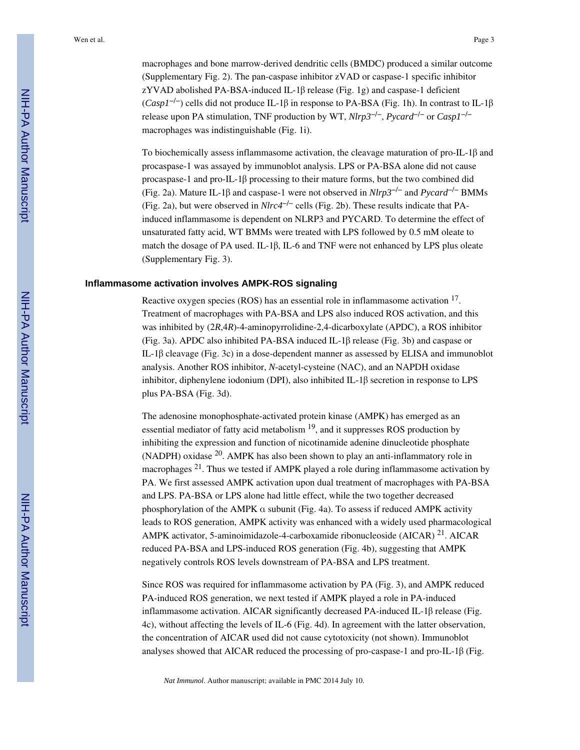macrophages and bone marrow-derived dendritic cells (BMDC) produced a similar outcome (Supplementary Fig. 2). The pan-caspase inhibitor zVAD or caspase-1 specific inhibitor zYVAD abolished PA-BSA-induced IL-1β release (Fig. 1g) and caspase-1 deficient (*Casp1*−/−) cells did not produce IL-1β in response to PA-BSA (Fig. 1h). In contrast to IL-1β release upon PA stimulation, TNF production by WT, *Nlrp3*−/−, *Pycard*−/− or *Casp1*−/− macrophages was indistinguishable (Fig. 1i).

To biochemically assess inflammasome activation, the cleavage maturation of pro-IL-1β and procaspase-1 was assayed by immunoblot analysis. LPS or PA-BSA alone did not cause procaspase-1 and pro-IL-1β processing to their mature forms, but the two combined did (Fig. 2a). Mature IL-1β and caspase-1 were not observed in *Nlrp3*−/− and *Pycard*−/− BMMs (Fig. 2a), but were observed in *Nlrc4*−/− cells (Fig. 2b). These results indicate that PAinduced inflammasome is dependent on NLRP3 and PYCARD. To determine the effect of unsaturated fatty acid, WT BMMs were treated with LPS followed by 0.5 mM oleate to match the dosage of PA used. IL-1β, IL-6 and TNF were not enhanced by LPS plus oleate (Supplementary Fig. 3).

#### **Inflammasome activation involves AMPK-ROS signaling**

Reactive oxygen species (ROS) has an essential role in inflammasome activation <sup>17</sup>. Treatment of macrophages with PA-BSA and LPS also induced ROS activation, and this was inhibited by (2*R*,4*R*)-4-aminopyrrolidine-2,4-dicarboxylate (APDC), a ROS inhibitor (Fig. 3a). APDC also inhibited PA-BSA induced IL-1β release (Fig. 3b) and caspase or IL-1β cleavage (Fig. 3c) in a dose-dependent manner as assessed by ELISA and immunoblot analysis. Another ROS inhibitor, *N*-acetyl-cysteine (NAC), and an NAPDH oxidase inhibitor, diphenylene iodonium (DPI), also inhibited IL-1β secretion in response to LPS plus PA-BSA (Fig. 3d).

The adenosine monophosphate-activated protein kinase (AMPK) has emerged as an essential mediator of fatty acid metabolism  $19$ , and it suppresses ROS production by inhibiting the expression and function of nicotinamide adenine dinucleotide phosphate (NADPH) oxidase 20. AMPK has also been shown to play an anti-inflammatory role in macrophages 21. Thus we tested if AMPK played a role during inflammasome activation by PA. We first assessed AMPK activation upon dual treatment of macrophages with PA-BSA and LPS. PA-BSA or LPS alone had little effect, while the two together decreased phosphorylation of the AMPK  $\alpha$  subunit (Fig. 4a). To assess if reduced AMPK activity leads to ROS generation, AMPK activity was enhanced with a widely used pharmacological AMPK activator, 5-aminoimidazole-4-carboxamide ribonucleoside (AICAR)  $^{21}$ . AICAR reduced PA-BSA and LPS-induced ROS generation (Fig. 4b), suggesting that AMPK negatively controls ROS levels downstream of PA-BSA and LPS treatment.

Since ROS was required for inflammasome activation by PA (Fig. 3), and AMPK reduced PA-induced ROS generation, we next tested if AMPK played a role in PA-induced inflammasome activation. AICAR significantly decreased PA-induced IL-1 $\beta$  release (Fig. 4c), without affecting the levels of IL-6 (Fig. 4d). In agreement with the latter observation, the concentration of AICAR used did not cause cytotoxicity (not shown). Immunoblot analyses showed that AICAR reduced the processing of pro-caspase-1 and pro-IL-1β (Fig.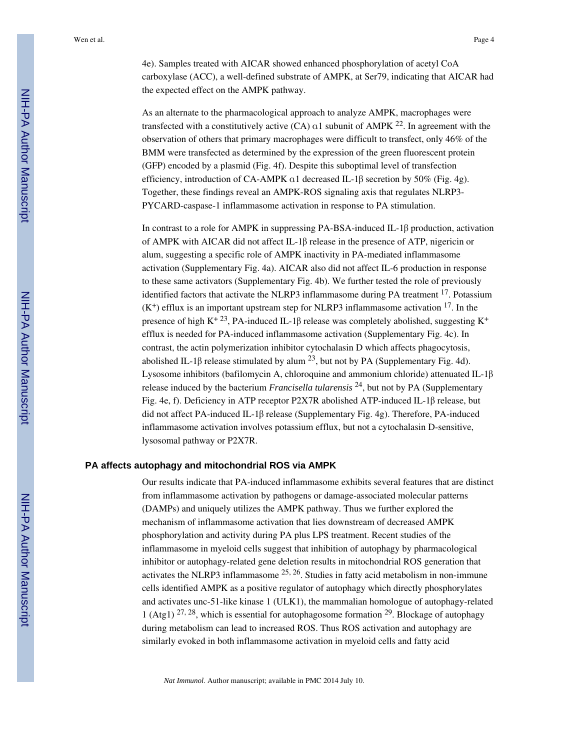4e). Samples treated with AICAR showed enhanced phosphorylation of acetyl CoA carboxylase (ACC), a well-defined substrate of AMPK, at Ser79, indicating that AICAR had the expected effect on the AMPK pathway.

As an alternate to the pharmacological approach to analyze AMPK, macrophages were transfected with a constitutively active (CA)  $\alpha$ 1 subunit of AMPK <sup>22</sup>. In agreement with the observation of others that primary macrophages were difficult to transfect, only 46% of the BMM were transfected as determined by the expression of the green fluorescent protein (GFP) encoded by a plasmid (Fig. 4f). Despite this suboptimal level of transfection efficiency, introduction of CA-AMPK α1 decreased IL-1β secretion by 50% (Fig. 4g). Together, these findings reveal an AMPK-ROS signaling axis that regulates NLRP3- PYCARD-caspase-1 inflammasome activation in response to PA stimulation.

In contrast to a role for AMPK in suppressing PA-BSA-induced IL-1β production, activation of AMPK with AICAR did not affect IL-1β release in the presence of ATP, nigericin or alum, suggesting a specific role of AMPK inactivity in PA-mediated inflammasome activation (Supplementary Fig. 4a). AICAR also did not affect IL-6 production in response to these same activators (Supplementary Fig. 4b). We further tested the role of previously identified factors that activate the NLRP3 inflammasome during PA treatment 17. Potassium  $(K^+)$  efflux is an important upstream step for NLRP3 inflammasome activation  $^{17}$ . In the presence of high K<sup>+23</sup>, PA-induced IL-1β release was completely abolished, suggesting K<sup>+</sup> efflux is needed for PA-induced inflammasome activation (Supplementary Fig. 4c). In contrast, the actin polymerization inhibitor cytochalasin D which affects phagocytosis, abolished IL-1β release stimulated by alum  $^{23}$ , but not by PA (Supplementary Fig. 4d). Lysosome inhibitors (bafilomycin A, chloroquine and ammonium chloride) attenuated IL-1β release induced by the bacterium *Francisella tularensis* <sup>24</sup>, but not by PA (Supplementary Fig. 4e, f). Deficiency in ATP receptor P2X7R abolished ATP-induced IL-1β release, but did not affect PA-induced IL-1β release (Supplementary Fig. 4g). Therefore, PA-induced inflammasome activation involves potassium efflux, but not a cytochalasin D-sensitive, lysosomal pathway or P2X7R.

#### **PA affects autophagy and mitochondrial ROS via AMPK**

Our results indicate that PA-induced inflammasome exhibits several features that are distinct from inflammasome activation by pathogens or damage-associated molecular patterns (DAMPs) and uniquely utilizes the AMPK pathway. Thus we further explored the mechanism of inflammasome activation that lies downstream of decreased AMPK phosphorylation and activity during PA plus LPS treatment. Recent studies of the inflammasome in myeloid cells suggest that inhibition of autophagy by pharmacological inhibitor or autophagy-related gene deletion results in mitochondrial ROS generation that activates the NLRP3 inflammasome  $25$ ,  $26$ . Studies in fatty acid metabolism in non-immune cells identified AMPK as a positive regulator of autophagy which directly phosphorylates and activates unc-51-like kinase 1 (ULK1), the mammalian homologue of autophagy-related 1 (Atg1)  $^{27,28}$ , which is essential for autophagosome formation  $^{29}$ . Blockage of autophagy during metabolism can lead to increased ROS. Thus ROS activation and autophagy are similarly evoked in both inflammasome activation in myeloid cells and fatty acid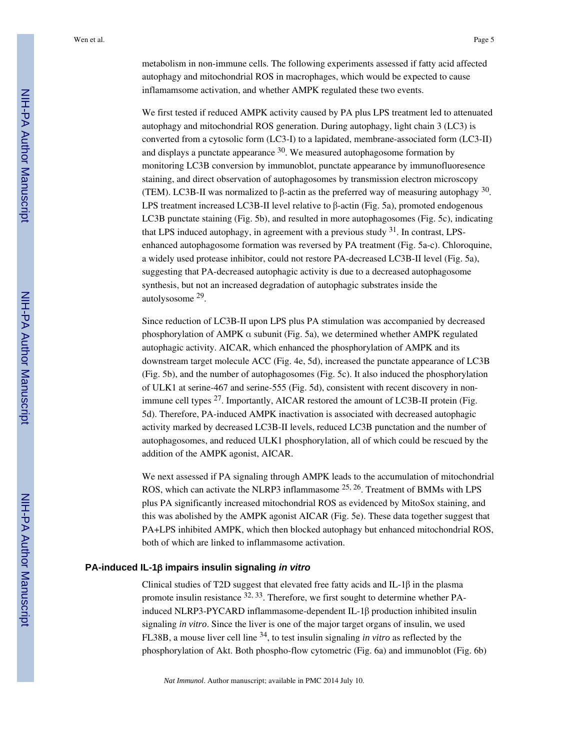metabolism in non-immune cells. The following experiments assessed if fatty acid affected autophagy and mitochondrial ROS in macrophages, which would be expected to cause inflamamsome activation, and whether AMPK regulated these two events.

We first tested if reduced AMPK activity caused by PA plus LPS treatment led to attenuated autophagy and mitochondrial ROS generation. During autophagy, light chain 3 (LC3) is converted from a cytosolic form (LC3-I) to a lapidated, membrane-associated form (LC3-II) and displays a punctate appearance  $30$ . We measured autophagosome formation by monitoring LC3B conversion by immunoblot, punctate appearance by immunofluoresence staining, and direct observation of autophagosomes by transmission electron microscopy (TEM). LC3B-II was normalized to  $\beta$ -actin as the preferred way of measuring autophagy  $30$ . LPS treatment increased LC3B-II level relative to β-actin (Fig. 5a), promoted endogenous LC3B punctate staining (Fig. 5b), and resulted in more autophagosomes (Fig. 5c), indicating that LPS induced autophagy, in agreement with a previous study 31. In contrast, LPSenhanced autophagosome formation was reversed by PA treatment (Fig. 5a-c). Chloroquine, a widely used protease inhibitor, could not restore PA-decreased LC3B-II level (Fig. 5a), suggesting that PA-decreased autophagic activity is due to a decreased autophagosome synthesis, but not an increased degradation of autophagic substrates inside the autolysosome <sup>29</sup>.

Since reduction of LC3B-II upon LPS plus PA stimulation was accompanied by decreased phosphorylation of AMPK α subunit (Fig. 5a), we determined whether AMPK regulated autophagic activity. AICAR, which enhanced the phosphorylation of AMPK and its downstream target molecule ACC (Fig. 4e, 5d), increased the punctate appearance of LC3B (Fig. 5b), and the number of autophagosomes (Fig. 5c). It also induced the phosphorylation of ULK1 at serine-467 and serine-555 (Fig. 5d), consistent with recent discovery in nonimmune cell types  $27$ . Importantly, AICAR restored the amount of LC3B-II protein (Fig. 5d). Therefore, PA-induced AMPK inactivation is associated with decreased autophagic activity marked by decreased LC3B-II levels, reduced LC3B punctation and the number of autophagosomes, and reduced ULK1 phosphorylation, all of which could be rescued by the addition of the AMPK agonist, AICAR.

We next assessed if PA signaling through AMPK leads to the accumulation of mitochondrial ROS, which can activate the NLRP3 inflammasome 25, 26. Treatment of BMMs with LPS plus PA significantly increased mitochondrial ROS as evidenced by MitoSox staining, and this was abolished by the AMPK agonist AICAR (Fig. 5e). These data together suggest that PA+LPS inhibited AMPK, which then blocked autophagy but enhanced mitochondrial ROS, both of which are linked to inflammasome activation.

#### **PA-induced IL-1**β **impairs insulin signaling in vitro**

Clinical studies of T2D suggest that elevated free fatty acids and IL-1β in the plasma promote insulin resistance  $32, 33$ . Therefore, we first sought to determine whether PAinduced NLRP3-PYCARD inflammasome-dependent IL-1β production inhibited insulin signaling *in vitro*. Since the liver is one of the major target organs of insulin, we used FL38B, a mouse liver cell line 34, to test insulin signaling *in vitro* as reflected by the phosphorylation of Akt. Both phospho-flow cytometric (Fig. 6a) and immunoblot (Fig. 6b)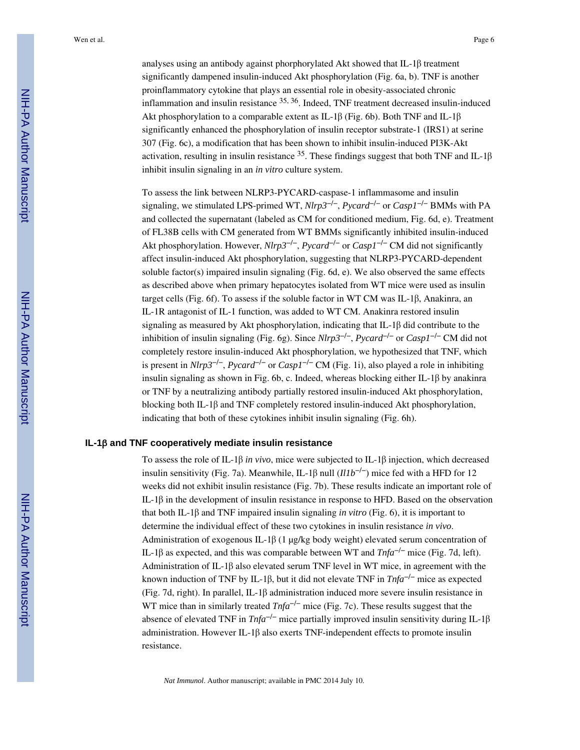analyses using an antibody against phorphorylated Akt showed that IL-1β treatment significantly dampened insulin-induced Akt phosphorylation (Fig. 6a, b). TNF is another proinflammatory cytokine that plays an essential role in obesity-associated chronic inflammation and insulin resistance 35, 36. Indeed, TNF treatment decreased insulin-induced Akt phosphorylation to a comparable extent as IL-1β (Fig. 6b). Both TNF and IL-1β significantly enhanced the phosphorylation of insulin receptor substrate-1 (IRS1) at serine 307 (Fig. 6c), a modification that has been shown to inhibit insulin-induced PI3K-Akt activation, resulting in insulin resistance  $35$ . These findings suggest that both TNF and IL-1 $\beta$ inhibit insulin signaling in an *in vitro* culture system.

To assess the link between NLRP3-PYCARD-caspase-1 inflammasome and insulin signaling, we stimulated LPS-primed WT, *Nlrp3*−/−, *Pycard*−/− or *Casp1*−/− BMMs with PA and collected the supernatant (labeled as CM for conditioned medium, Fig. 6d, e). Treatment of FL38B cells with CM generated from WT BMMs significantly inhibited insulin-induced Akt phosphorylation. However, *Nlrp3*−/−, *Pycard*−/− or *Casp1*−/− CM did not significantly affect insulin-induced Akt phosphorylation, suggesting that NLRP3-PYCARD-dependent soluble factor(s) impaired insulin signaling (Fig. 6d, e). We also observed the same effects as described above when primary hepatocytes isolated from WT mice were used as insulin target cells (Fig. 6f). To assess if the soluble factor in WT CM was IL-1β, Anakinra, an IL-1R antagonist of IL-1 function, was added to WT CM. Anakinra restored insulin signaling as measured by Akt phosphorylation, indicating that IL-1β did contribute to the inhibition of insulin signaling (Fig. 6g). Since *Nlrp3*−/−, *Pycard*−/− or *Casp1*−/− CM did not completely restore insulin-induced Akt phosphorylation, we hypothesized that TNF, which is present in *Nlrp3*−/−, *Pycard*−/− or *Casp1*−/− CM (Fig. 1i), also played a role in inhibiting insulin signaling as shown in Fig. 6b, c. Indeed, whereas blocking either IL-1β by anakinra or TNF by a neutralizing antibody partially restored insulin-induced Akt phosphorylation, blocking both IL-1β and TNF completely restored insulin-induced Akt phosphorylation, indicating that both of these cytokines inhibit insulin signaling (Fig. 6h).

#### **IL-1**β **and TNF cooperatively mediate insulin resistance**

To assess the role of IL-1β *in vivo*, mice were subjected to IL-1β injection, which decreased insulin sensitivity (Fig. 7a). Meanwhile, IL-1β null  $(IIIb^{-/-})$  mice fed with a HFD for 12 weeks did not exhibit insulin resistance (Fig. 7b). These results indicate an important role of IL-1β in the development of insulin resistance in response to HFD. Based on the observation that both IL-1β and TNF impaired insulin signaling *in vitro* (Fig. 6), it is important to determine the individual effect of these two cytokines in insulin resistance *in vivo*. Administration of exogenous IL-1 $\beta$  (1 μg/kg body weight) elevated serum concentration of IL-1β as expected, and this was comparable between WT and *Tnfa*−/− mice (Fig. 7d, left). Administration of IL-1β also elevated serum TNF level in WT mice, in agreement with the known induction of TNF by IL-1β, but it did not elevate TNF in *Tnfa*−/− mice as expected (Fig. 7d, right). In parallel, IL-1β administration induced more severe insulin resistance in WT mice than in similarly treated *Tnfa*−/− mice (Fig. 7c). These results suggest that the absence of elevated TNF in *Tnfa*−/− mice partially improved insulin sensitivity during IL-1β administration. However IL-1β also exerts TNF-independent effects to promote insulin resistance.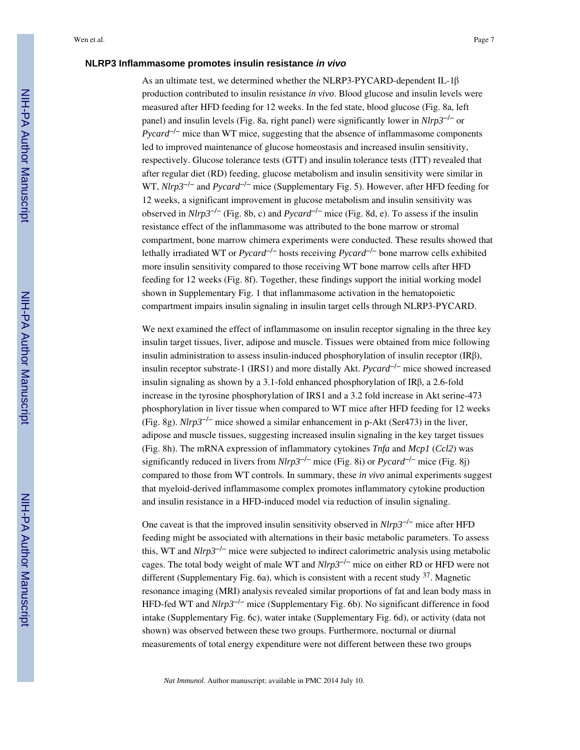#### **NLRP3 Inflammasome promotes insulin resistance in vivo**

As an ultimate test, we determined whether the NLRP3-PYCARD-dependent IL-1β production contributed to insulin resistance *in vivo*. Blood glucose and insulin levels were measured after HFD feeding for 12 weeks. In the fed state, blood glucose (Fig. 8a, left panel) and insulin levels (Fig. 8a, right panel) were significantly lower in *Nlrp3*−/− or *Pycard<sup>-/-</sup>* mice than WT mice, suggesting that the absence of inflammasome components led to improved maintenance of glucose homeostasis and increased insulin sensitivity, respectively. Glucose tolerance tests (GTT) and insulin tolerance tests (ITT) revealed that after regular diet (RD) feeding, glucose metabolism and insulin sensitivity were similar in WT, *Nlrp3*−/− and *Pycard*−/− mice (Supplementary Fig. 5). However, after HFD feeding for 12 weeks, a significant improvement in glucose metabolism and insulin sensitivity was observed in *Nlrp3*−/− (Fig. 8b, c) and *Pycard*−/− mice (Fig. 8d, e). To assess if the insulin resistance effect of the inflammasome was attributed to the bone marrow or stromal compartment, bone marrow chimera experiments were conducted. These results showed that lethally irradiated WT or *Pycard*−/− hosts receiving *Pycard*−/− bone marrow cells exhibited more insulin sensitivity compared to those receiving WT bone marrow cells after HFD feeding for 12 weeks (Fig. 8f). Together, these findings support the initial working model shown in Supplementary Fig. 1 that inflammasome activation in the hematopoietic compartment impairs insulin signaling in insulin target cells through NLRP3-PYCARD.

We next examined the effect of inflammasome on insulin receptor signaling in the three key insulin target tissues, liver, adipose and muscle. Tissues were obtained from mice following insulin administration to assess insulin-induced phosphorylation of insulin receptor (IRβ), insulin receptor substrate-1 (IRS1) and more distally Akt. *Pycard*−/− mice showed increased insulin signaling as shown by a 3.1-fold enhanced phosphorylation of IRβ, a 2.6-fold increase in the tyrosine phosphorylation of IRS1 and a 3.2 fold increase in Akt serine-473 phosphorylation in liver tissue when compared to WT mice after HFD feeding for 12 weeks (Fig. 8g). *Nlrp3*−/− mice showed a similar enhancement in p-Akt (Ser473) in the liver, adipose and muscle tissues, suggesting increased insulin signaling in the key target tissues (Fig. 8h). The mRNA expression of inflammatory cytokines *Tnfa* and *Mcp1* (*Ccl2*) was significantly reduced in livers from *Nlrp3*−/− mice (Fig. 8i) or *Pycard*−/− mice (Fig. 8j) compared to those from WT controls. In summary, these *in vivo* animal experiments suggest that myeloid-derived inflammasome complex promotes inflammatory cytokine production and insulin resistance in a HFD-induced model via reduction of insulin signaling.

One caveat is that the improved insulin sensitivity observed in *Nlrp3*−/− mice after HFD feeding might be associated with alternations in their basic metabolic parameters. To assess this, WT and *Nlrp3*−/− mice were subjected to indirect calorimetric analysis using metabolic cages. The total body weight of male WT and *Nlrp3*−/− mice on either RD or HFD were not different (Supplementary Fig. 6a), which is consistent with a recent study <sup>37</sup>. Magnetic resonance imaging (MRI) analysis revealed similar proportions of fat and lean body mass in HFD-fed WT and *Nlrp3<sup>-/-</sup>* mice (Supplementary Fig. 6b). No significant difference in food intake (Supplementary Fig. 6c), water intake (Supplementary Fig. 6d), or activity (data not shown) was observed between these two groups. Furthermore, nocturnal or diurnal measurements of total energy expenditure were not different between these two groups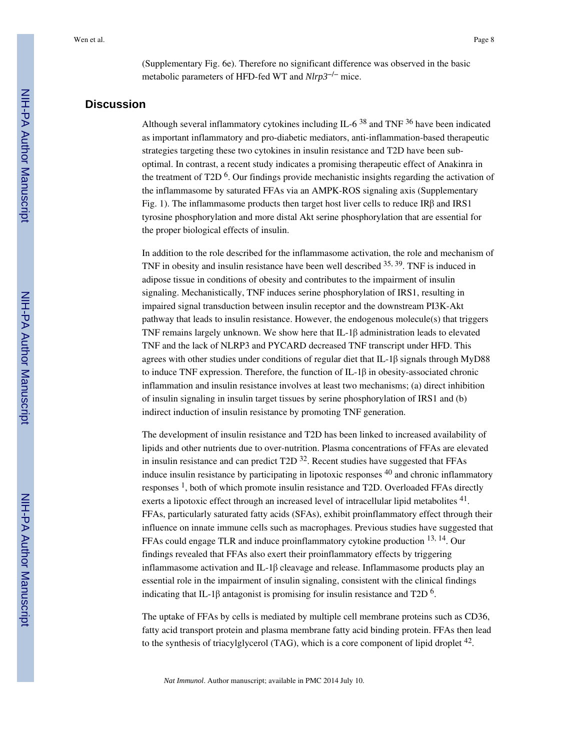(Supplementary Fig. 6e). Therefore no significant difference was observed in the basic metabolic parameters of HFD-fed WT and *Nlrp3*−/− mice.

# **Discussion**

Although several inflammatory cytokines including IL-6<sup>38</sup> and TNF  $36$  have been indicated as important inflammatory and pro-diabetic mediators, anti-inflammation-based therapeutic strategies targeting these two cytokines in insulin resistance and T2D have been suboptimal. In contrast, a recent study indicates a promising therapeutic effect of Anakinra in the treatment of T2D  $<sup>6</sup>$ . Our findings provide mechanistic insights regarding the activation of</sup> the inflammasome by saturated FFAs via an AMPK-ROS signaling axis (Supplementary Fig. 1). The inflammasome products then target host liver cells to reduce IRβ and IRS1 tyrosine phosphorylation and more distal Akt serine phosphorylation that are essential for the proper biological effects of insulin.

In addition to the role described for the inflammasome activation, the role and mechanism of TNF in obesity and insulin resistance have been well described 35, 39. TNF is induced in adipose tissue in conditions of obesity and contributes to the impairment of insulin signaling. Mechanistically, TNF induces serine phosphorylation of IRS1, resulting in impaired signal transduction between insulin receptor and the downstream PI3K-Akt pathway that leads to insulin resistance. However, the endogenous molecule(s) that triggers TNF remains largely unknown. We show here that IL-1 $\beta$  administration leads to elevated TNF and the lack of NLRP3 and PYCARD decreased TNF transcript under HFD. This agrees with other studies under conditions of regular diet that IL-1β signals through MyD88 to induce TNF expression. Therefore, the function of IL-1 $\beta$  in obesity-associated chronic inflammation and insulin resistance involves at least two mechanisms; (a) direct inhibition of insulin signaling in insulin target tissues by serine phosphorylation of IRS1 and (b) indirect induction of insulin resistance by promoting TNF generation.

The development of insulin resistance and T2D has been linked to increased availability of lipids and other nutrients due to over-nutrition. Plasma concentrations of FFAs are elevated in insulin resistance and can predict  $T2D<sup>32</sup>$ . Recent studies have suggested that FFAs induce insulin resistance by participating in lipotoxic responses <sup>40</sup> and chronic inflammatory responses<sup>1</sup>, both of which promote insulin resistance and T2D. Overloaded FFAs directly exerts a lipotoxic effect through an increased level of intracellular lipid metabolites  $41$ . FFAs, particularly saturated fatty acids (SFAs), exhibit proinflammatory effect through their influence on innate immune cells such as macrophages. Previous studies have suggested that FFAs could engage TLR and induce proinflammatory cytokine production <sup>13, 14</sup>. Our findings revealed that FFAs also exert their proinflammatory effects by triggering inflammasome activation and IL-1 $\beta$  cleavage and release. Inflammasome products play an essential role in the impairment of insulin signaling, consistent with the clinical findings indicating that IL-1 $\beta$  antagonist is promising for insulin resistance and T2D  $^6$ .

The uptake of FFAs by cells is mediated by multiple cell membrane proteins such as CD36, fatty acid transport protein and plasma membrane fatty acid binding protein. FFAs then lead to the synthesis of triacylglycerol (TAG), which is a core component of lipid droplet  $^{42}$ .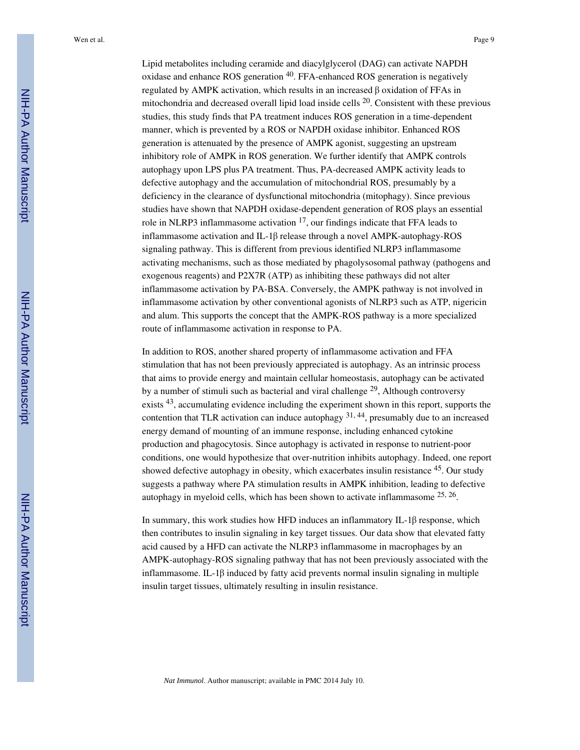Lipid metabolites including ceramide and diacylglycerol (DAG) can activate NAPDH oxidase and enhance ROS generation <sup>40</sup>. FFA-enhanced ROS generation is negatively regulated by AMPK activation, which results in an increased β oxidation of FFAs in mitochondria and decreased overall lipid load inside cells  $^{20}$ . Consistent with these previous studies, this study finds that PA treatment induces ROS generation in a time-dependent manner, which is prevented by a ROS or NAPDH oxidase inhibitor. Enhanced ROS generation is attenuated by the presence of AMPK agonist, suggesting an upstream inhibitory role of AMPK in ROS generation. We further identify that AMPK controls autophagy upon LPS plus PA treatment. Thus, PA-decreased AMPK activity leads to defective autophagy and the accumulation of mitochondrial ROS, presumably by a deficiency in the clearance of dysfunctional mitochondria (mitophagy). Since previous studies have shown that NAPDH oxidase-dependent generation of ROS plays an essential role in NLRP3 inflammasome activation  $17$ , our findings indicate that FFA leads to inflammasome activation and IL-1β release through a novel AMPK-autophagy-ROS signaling pathway. This is different from previous identified NLRP3 inflammasome activating mechanisms, such as those mediated by phagolysosomal pathway (pathogens and exogenous reagents) and P2X7R (ATP) as inhibiting these pathways did not alter inflammasome activation by PA-BSA. Conversely, the AMPK pathway is not involved in inflammasome activation by other conventional agonists of NLRP3 such as ATP, nigericin and alum. This supports the concept that the AMPK-ROS pathway is a more specialized route of inflammasome activation in response to PA.

In addition to ROS, another shared property of inflammasome activation and FFA stimulation that has not been previously appreciated is autophagy. As an intrinsic process that aims to provide energy and maintain cellular homeostasis, autophagy can be activated by a number of stimuli such as bacterial and viral challenge <sup>29</sup>, Although controversy exists <sup>43</sup>, accumulating evidence including the experiment shown in this report, supports the contention that TLR activation can induce autophagy  $31, 44$ , presumably due to an increased energy demand of mounting of an immune response, including enhanced cytokine production and phagocytosis. Since autophagy is activated in response to nutrient-poor conditions, one would hypothesize that over-nutrition inhibits autophagy. Indeed, one report showed defective autophagy in obesity, which exacerbates insulin resistance <sup>45</sup>. Our study suggests a pathway where PA stimulation results in AMPK inhibition, leading to defective autophagy in myeloid cells, which has been shown to activate inflammasome  $25, 26$ .

In summary, this work studies how HFD induces an inflammatory IL-1β response, which then contributes to insulin signaling in key target tissues. Our data show that elevated fatty acid caused by a HFD can activate the NLRP3 inflammasome in macrophages by an AMPK-autophagy-ROS signaling pathway that has not been previously associated with the inflammasome. IL-1β induced by fatty acid prevents normal insulin signaling in multiple insulin target tissues, ultimately resulting in insulin resistance.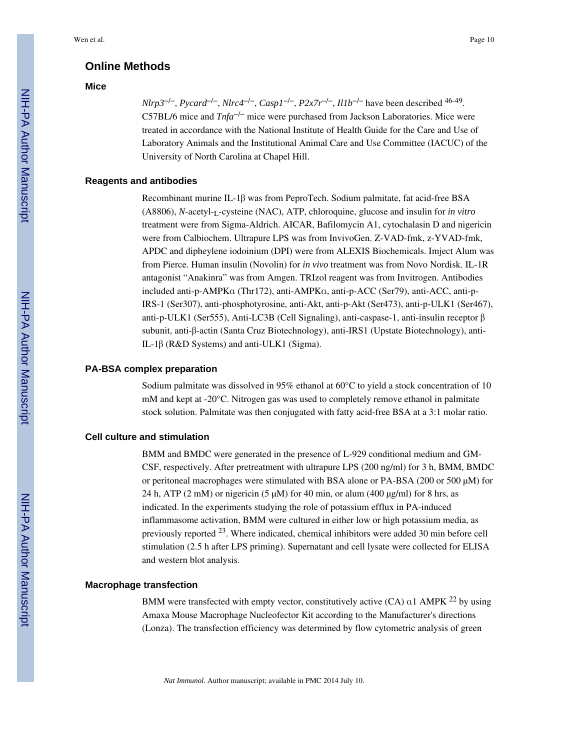# **Online Methods**

#### **Mice**

*Nlrp3*−/−, *Pycard*−/−, *Nlrc4*−/−, *Casp1*−/−, *P2x7r*−/−, *Il1b*−/− have been described 46-49 . C57BL/6 mice and *Tnfa*−/− mice were purchased from Jackson Laboratories. Mice were treated in accordance with the National Institute of Health Guide for the Care and Use of Laboratory Animals and the Institutional Animal Care and Use Committee (IACUC) of the University of North Carolina at Chapel Hill.

#### **Reagents and antibodies**

Recombinant murine IL-1β was from PeproTech. Sodium palmitate, fat acid-free BSA (A8806), *N*-acetyl-<sub>L</sub>-cysteine (NAC), ATP, chloroquine, glucose and insulin for *in vitro* treatment were from Sigma-Aldrich. AICAR, Bafilomycin A1, cytochalasin D and nigericin were from Calbiochem. Ultrapure LPS was from InvivoGen. Z-VAD-fmk, z-YVAD-fmk, APDC and dipheylene iodoinium (DPI) were from ALEXIS Biochemicals. Imject Alum was from Pierce. Human insulin (Novolin) for *in vivo* treatment was from Novo Nordisk. IL-1R antagonist "Anakinra" was from Amgen. TRIzol reagent was from Invitrogen. Antibodies included anti-p-AMPKα (Thr172), anti-AMPKα, anti-p-ACC (Ser79), anti-ACC, anti-p-IRS-1 (Ser307), anti-phosphotyrosine, anti-Akt, anti-p-Akt (Ser473), anti-p-ULK1 (Ser467), anti-p-ULK1 (Ser555), Anti-LC3B (Cell Signaling), anti-caspase-1, anti-insulin receptor β subunit, anti-β-actin (Santa Cruz Biotechnology), anti-IRS1 (Upstate Biotechnology), anti-IL-1β (R&D Systems) and anti-ULK1 (Sigma).

#### **PA-BSA complex preparation**

Sodium palmitate was dissolved in 95% ethanol at 60°C to yield a stock concentration of 10 mM and kept at -20°C. Nitrogen gas was used to completely remove ethanol in palmitate stock solution. Palmitate was then conjugated with fatty acid-free BSA at a 3:1 molar ratio.

#### **Cell culture and stimulation**

BMM and BMDC were generated in the presence of L-929 conditional medium and GM-CSF, respectively. After pretreatment with ultrapure LPS (200 ng/ml) for 3 h, BMM, BMDC or peritoneal macrophages were stimulated with BSA alone or PA-BSA (200 or 500 μM) for 24 h, ATP (2 mM) or nigericin (5  $\mu$ M) for 40 min, or alum (400  $\mu$ g/ml) for 8 hrs, as indicated. In the experiments studying the role of potassium efflux in PA-induced inflammasome activation, BMM were cultured in either low or high potassium media, as previously reported 23. Where indicated, chemical inhibitors were added 30 min before cell stimulation (2.5 h after LPS priming). Supernatant and cell lysate were collected for ELISA and western blot analysis.

#### **Macrophage transfection**

BMM were transfected with empty vector, constitutively active (CA)  $\alpha$ 1 AMPK <sup>22</sup> by using Amaxa Mouse Macrophage Nucleofector Kit according to the Manufacturer's directions (Lonza). The transfection efficiency was determined by flow cytometric analysis of green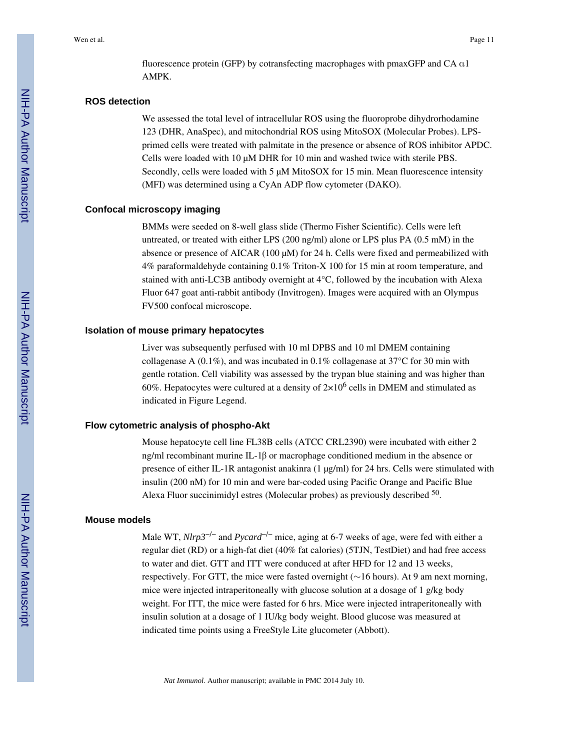fluorescence protein (GFP) by cotransfecting macrophages with pmaxGFP and CA α1 AMPK.

#### **ROS detection**

We assessed the total level of intracellular ROS using the fluoroprobe dihydrorhodamine 123 (DHR, AnaSpec), and mitochondrial ROS using MitoSOX (Molecular Probes). LPSprimed cells were treated with palmitate in the presence or absence of ROS inhibitor APDC. Cells were loaded with 10 μM DHR for 10 min and washed twice with sterile PBS. Secondly, cells were loaded with 5 μM MitoSOX for 15 min. Mean fluorescence intensity (MFI) was determined using a CyAn ADP flow cytometer (DAKO).

#### **Confocal microscopy imaging**

BMMs were seeded on 8-well glass slide (Thermo Fisher Scientific). Cells were left untreated, or treated with either LPS (200 ng/ml) alone or LPS plus PA (0.5 mM) in the absence or presence of AICAR (100 μM) for 24 h. Cells were fixed and permeabilized with 4% paraformaldehyde containing 0.1% Triton-X 100 for 15 min at room temperature, and stained with anti-LC3B antibody overnight at 4°C, followed by the incubation with Alexa Fluor 647 goat anti-rabbit antibody (Invitrogen). Images were acquired with an Olympus FV500 confocal microscope.

#### **Isolation of mouse primary hepatocytes**

Liver was subsequently perfused with 10 ml DPBS and 10 ml DMEM containing collagenase A (0.1%), and was incubated in 0.1% collagenase at 37°C for 30 min with gentle rotation. Cell viability was assessed by the trypan blue staining and was higher than 60%. Hepatocytes were cultured at a density of  $2\times10^6$  cells in DMEM and stimulated as indicated in Figure Legend.

#### **Flow cytometric analysis of phospho-Akt**

Mouse hepatocyte cell line FL38B cells (ATCC CRL2390) were incubated with either 2 ng/ml recombinant murine IL-1β or macrophage conditioned medium in the absence or presence of either IL-1R antagonist anakinra (1 μg/ml) for 24 hrs. Cells were stimulated with insulin (200 nM) for 10 min and were bar-coded using Pacific Orange and Pacific Blue Alexa Fluor succinimidyl estres (Molecular probes) as previously described <sup>50</sup>.

#### **Mouse models**

Male WT, *Nlrp3*−/− and *Pycard*−/− mice, aging at 6-7 weeks of age, were fed with either a regular diet (RD) or a high-fat diet (40% fat calories) (5TJN, TestDiet) and had free access to water and diet. GTT and ITT were conduced at after HFD for 12 and 13 weeks, respectively. For GTT, the mice were fasted overnight (∼16 hours). At 9 am next morning, mice were injected intraperitoneally with glucose solution at a dosage of 1 g/kg body weight. For ITT, the mice were fasted for 6 hrs. Mice were injected intraperitoneally with insulin solution at a dosage of 1 IU/kg body weight. Blood glucose was measured at indicated time points using a FreeStyle Lite glucometer (Abbott).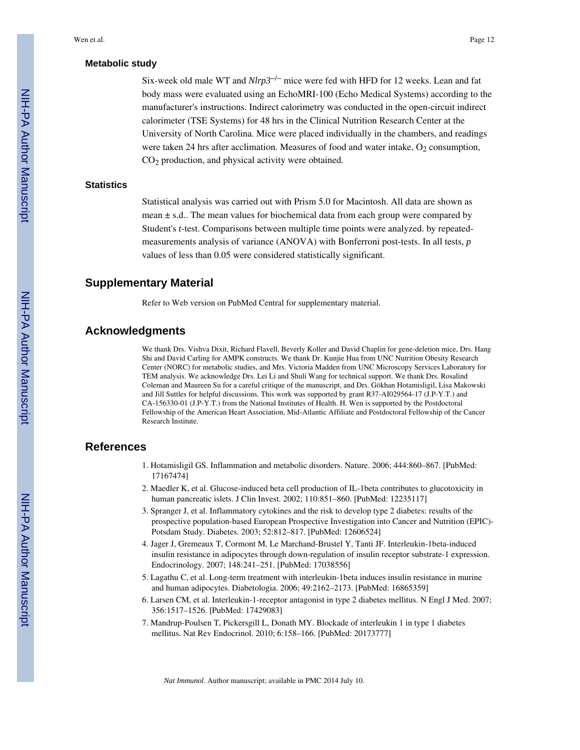#### **Metabolic study**

Six-week old male WT and *Nlrp3*−/− mice were fed with HFD for 12 weeks. Lean and fat body mass were evaluated using an EchoMRI-100 (Echo Medical Systems) according to the manufacturer's instructions. Indirect calorimetry was conducted in the open-circuit indirect calorimeter (TSE Systems) for 48 hrs in the Clinical Nutrition Research Center at the University of North Carolina. Mice were placed individually in the chambers, and readings were taken 24 hrs after acclimation. Measures of food and water intake,  $O<sub>2</sub>$  consumption, CO2 production, and physical activity were obtained.

#### **Statistics**

Statistical analysis was carried out with Prism 5.0 for Macintosh. All data are shown as mean  $\pm$  s.d.. The mean values for biochemical data from each group were compared by Student's *t*-test. Comparisons between multiple time points were analyzed. by repeatedmeasurements analysis of variance (ANOVA) with Bonferroni post-tests. In all tests, *p* values of less than 0.05 were considered statistically significant.

# **Supplementary Material**

Refer to Web version on PubMed Central for supplementary material.

# **Acknowledgments**

We thank Drs. Vishva Dixit, Richard Flavell, Beverly Koller and David Chaplin for gene-deletion mice, Drs. Hang Shi and David Carling for AMPK constructs. We thank Dr. Kunjie Hua from UNC Nutrition Obesity Research Center (NORC) for metabolic studies, and Mrs. Victoria Madden from UNC Microscopy Services Laboratory for TEM analysis. We acknowledge Drs. Lei Li and Shuli Wang for technical support. We thank Drs. Rosalind Coleman and Maureen Su for a careful critique of the manuscript, and Drs. Gökhan Hotamisligil, Lisa Makowski and Jill Suttles for helpful discussions. This work was supported by grant R37-AI029564-17 (J.P-Y.T.) and CA-156330-01 (J.P-Y.T.) from the National Institutes of Health. H. Wen is supported by the Postdoctoral Fellowship of the American Heart Association, Mid-Atlantic Affiliate and Postdoctoral Fellowship of the Cancer Research Institute.

#### **References**

- 1. Hotamisligil GS. Inflammation and metabolic disorders. Nature. 2006; 444:860–867. [PubMed: 17167474]
- 2. Maedler K, et al. Glucose-induced beta cell production of IL-1beta contributes to glucotoxicity in human pancreatic islets. J Clin Invest. 2002; 110:851–860. [PubMed: 12235117]
- 3. Spranger J, et al. Inflammatory cytokines and the risk to develop type 2 diabetes: results of the prospective population-based European Prospective Investigation into Cancer and Nutrition (EPIC)- Potsdam Study. Diabetes. 2003; 52:812–817. [PubMed: 12606524]
- 4. Jager J, Gremeaux T, Cormont M, Le Marchand-Brustel Y, Tanti JF. Interleukin-1beta-induced insulin resistance in adipocytes through down-regulation of insulin receptor substrate-1 expression. Endocrinology. 2007; 148:241–251. [PubMed: 17038556]
- 5. Lagathu C, et al. Long-term treatment with interleukin-1beta induces insulin resistance in murine and human adipocytes. Diabetologia. 2006; 49:2162–2173. [PubMed: 16865359]
- 6. Larsen CM, et al. Interleukin-1-receptor antagonist in type 2 diabetes mellitus. N Engl J Med. 2007; 356:1517–1526. [PubMed: 17429083]
- 7. Mandrup-Poulsen T, Pickersgill L, Donath MY. Blockade of interleukin 1 in type 1 diabetes mellitus. Nat Rev Endocrinol. 2010; 6:158–166. [PubMed: 20173777]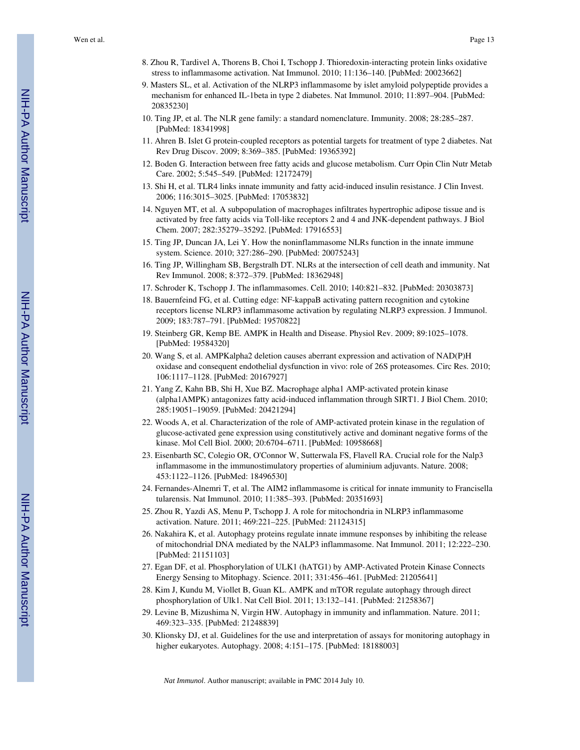- 8. Zhou R, Tardivel A, Thorens B, Choi I, Tschopp J. Thioredoxin-interacting protein links oxidative stress to inflammasome activation. Nat Immunol. 2010; 11:136–140. [PubMed: 20023662]
- 9. Masters SL, et al. Activation of the NLRP3 inflammasome by islet amyloid polypeptide provides a mechanism for enhanced IL-1beta in type 2 diabetes. Nat Immunol. 2010; 11:897–904. [PubMed: 20835230]
- 10. Ting JP, et al. The NLR gene family: a standard nomenclature. Immunity. 2008; 28:285–287. [PubMed: 18341998]
- 11. Ahren B. Islet G protein-coupled receptors as potential targets for treatment of type 2 diabetes. Nat Rev Drug Discov. 2009; 8:369–385. [PubMed: 19365392]
- 12. Boden G. Interaction between free fatty acids and glucose metabolism. Curr Opin Clin Nutr Metab Care. 2002; 5:545–549. [PubMed: 12172479]
- 13. Shi H, et al. TLR4 links innate immunity and fatty acid-induced insulin resistance. J Clin Invest. 2006; 116:3015–3025. [PubMed: 17053832]
- 14. Nguyen MT, et al. A subpopulation of macrophages infiltrates hypertrophic adipose tissue and is activated by free fatty acids via Toll-like receptors 2 and 4 and JNK-dependent pathways. J Biol Chem. 2007; 282:35279–35292. [PubMed: 17916553]
- 15. Ting JP, Duncan JA, Lei Y. How the noninflammasome NLRs function in the innate immune system. Science. 2010; 327:286–290. [PubMed: 20075243]
- 16. Ting JP, Willingham SB, Bergstralh DT. NLRs at the intersection of cell death and immunity. Nat Rev Immunol. 2008; 8:372–379. [PubMed: 18362948]
- 17. Schroder K, Tschopp J. The inflammasomes. Cell. 2010; 140:821–832. [PubMed: 20303873]
- 18. Bauernfeind FG, et al. Cutting edge: NF-kappaB activating pattern recognition and cytokine receptors license NLRP3 inflammasome activation by regulating NLRP3 expression. J Immunol. 2009; 183:787–791. [PubMed: 19570822]
- 19. Steinberg GR, Kemp BE. AMPK in Health and Disease. Physiol Rev. 2009; 89:1025–1078. [PubMed: 19584320]
- 20. Wang S, et al. AMPKalpha2 deletion causes aberrant expression and activation of NAD(P)H oxidase and consequent endothelial dysfunction in vivo: role of 26S proteasomes. Circ Res. 2010; 106:1117–1128. [PubMed: 20167927]
- 21. Yang Z, Kahn BB, Shi H, Xue BZ. Macrophage alpha1 AMP-activated protein kinase (alpha1AMPK) antagonizes fatty acid-induced inflammation through SIRT1. J Biol Chem. 2010; 285:19051–19059. [PubMed: 20421294]
- 22. Woods A, et al. Characterization of the role of AMP-activated protein kinase in the regulation of glucose-activated gene expression using constitutively active and dominant negative forms of the kinase. Mol Cell Biol. 2000; 20:6704–6711. [PubMed: 10958668]
- 23. Eisenbarth SC, Colegio OR, O'Connor W, Sutterwala FS, Flavell RA. Crucial role for the Nalp3 inflammasome in the immunostimulatory properties of aluminium adjuvants. Nature. 2008; 453:1122–1126. [PubMed: 18496530]
- 24. Fernandes-Alnemri T, et al. The AIM2 inflammasome is critical for innate immunity to Francisella tularensis. Nat Immunol. 2010; 11:385–393. [PubMed: 20351693]
- 25. Zhou R, Yazdi AS, Menu P, Tschopp J. A role for mitochondria in NLRP3 inflammasome activation. Nature. 2011; 469:221–225. [PubMed: 21124315]
- 26. Nakahira K, et al. Autophagy proteins regulate innate immune responses by inhibiting the release of mitochondrial DNA mediated by the NALP3 inflammasome. Nat Immunol. 2011; 12:222–230. [PubMed: 21151103]
- 27. Egan DF, et al. Phosphorylation of ULK1 (hATG1) by AMP-Activated Protein Kinase Connects Energy Sensing to Mitophagy. Science. 2011; 331:456–461. [PubMed: 21205641]
- 28. Kim J, Kundu M, Viollet B, Guan KL. AMPK and mTOR regulate autophagy through direct phosphorylation of Ulk1. Nat Cell Biol. 2011; 13:132–141. [PubMed: 21258367]
- 29. Levine B, Mizushima N, Virgin HW. Autophagy in immunity and inflammation. Nature. 2011; 469:323–335. [PubMed: 21248839]
- 30. Klionsky DJ, et al. Guidelines for the use and interpretation of assays for monitoring autophagy in higher eukaryotes. Autophagy. 2008; 4:151–175. [PubMed: 18188003]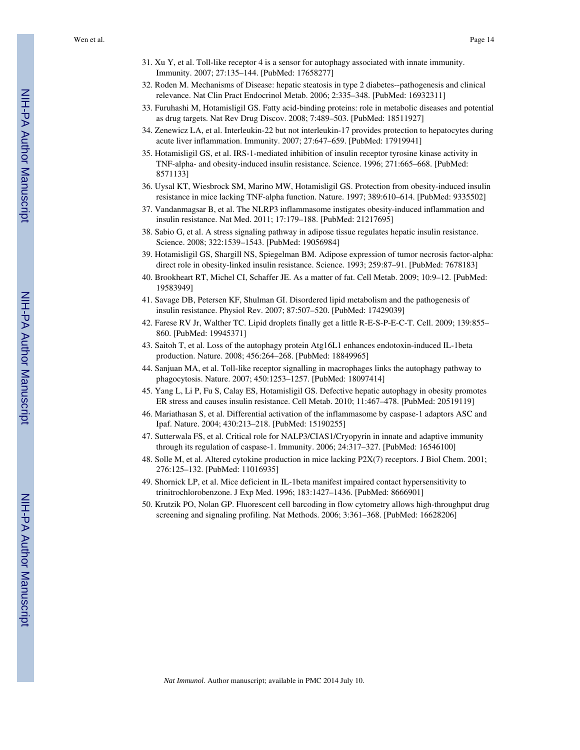- 31. Xu Y, et al. Toll-like receptor 4 is a sensor for autophagy associated with innate immunity. Immunity. 2007; 27:135–144. [PubMed: 17658277]
- 32. Roden M. Mechanisms of Disease: hepatic steatosis in type 2 diabetes--pathogenesis and clinical relevance. Nat Clin Pract Endocrinol Metab. 2006; 2:335–348. [PubMed: 16932311]
- 33. Furuhashi M, Hotamisligil GS. Fatty acid-binding proteins: role in metabolic diseases and potential as drug targets. Nat Rev Drug Discov. 2008; 7:489–503. [PubMed: 18511927]
- 34. Zenewicz LA, et al. Interleukin-22 but not interleukin-17 provides protection to hepatocytes during acute liver inflammation. Immunity. 2007; 27:647–659. [PubMed: 17919941]
- 35. Hotamisligil GS, et al. IRS-1-mediated inhibition of insulin receptor tyrosine kinase activity in TNF-alpha- and obesity-induced insulin resistance. Science. 1996; 271:665–668. [PubMed: 8571133]
- 36. Uysal KT, Wiesbrock SM, Marino MW, Hotamisligil GS. Protection from obesity-induced insulin resistance in mice lacking TNF-alpha function. Nature. 1997; 389:610–614. [PubMed: 9335502]
- 37. Vandanmagsar B, et al. The NLRP3 inflammasome instigates obesity-induced inflammation and insulin resistance. Nat Med. 2011; 17:179–188. [PubMed: 21217695]
- 38. Sabio G, et al. A stress signaling pathway in adipose tissue regulates hepatic insulin resistance. Science. 2008; 322:1539–1543. [PubMed: 19056984]
- 39. Hotamisligil GS, Shargill NS, Spiegelman BM. Adipose expression of tumor necrosis factor-alpha: direct role in obesity-linked insulin resistance. Science. 1993; 259:87–91. [PubMed: 7678183]
- 40. Brookheart RT, Michel CI, Schaffer JE. As a matter of fat. Cell Metab. 2009; 10:9–12. [PubMed: 19583949]
- 41. Savage DB, Petersen KF, Shulman GI. Disordered lipid metabolism and the pathogenesis of insulin resistance. Physiol Rev. 2007; 87:507–520. [PubMed: 17429039]
- 42. Farese RV Jr, Walther TC. Lipid droplets finally get a little R-E-S-P-E-C-T. Cell. 2009; 139:855– 860. [PubMed: 19945371]
- 43. Saitoh T, et al. Loss of the autophagy protein Atg16L1 enhances endotoxin-induced IL-1beta production. Nature. 2008; 456:264–268. [PubMed: 18849965]
- 44. Sanjuan MA, et al. Toll-like receptor signalling in macrophages links the autophagy pathway to phagocytosis. Nature. 2007; 450:1253–1257. [PubMed: 18097414]
- 45. Yang L, Li P, Fu S, Calay ES, Hotamisligil GS. Defective hepatic autophagy in obesity promotes ER stress and causes insulin resistance. Cell Metab. 2010; 11:467–478. [PubMed: 20519119]
- 46. Mariathasan S, et al. Differential activation of the inflammasome by caspase-1 adaptors ASC and Ipaf. Nature. 2004; 430:213–218. [PubMed: 15190255]
- 47. Sutterwala FS, et al. Critical role for NALP3/CIAS1/Cryopyrin in innate and adaptive immunity through its regulation of caspase-1. Immunity. 2006; 24:317–327. [PubMed: 16546100]
- 48. Solle M, et al. Altered cytokine production in mice lacking P2X(7) receptors. J Biol Chem. 2001; 276:125–132. [PubMed: 11016935]
- 49. Shornick LP, et al. Mice deficient in IL-1beta manifest impaired contact hypersensitivity to trinitrochlorobenzone. J Exp Med. 1996; 183:1427–1436. [PubMed: 8666901]
- 50. Krutzik PO, Nolan GP. Fluorescent cell barcoding in flow cytometry allows high-throughput drug screening and signaling profiling. Nat Methods. 2006; 3:361–368. [PubMed: 16628206]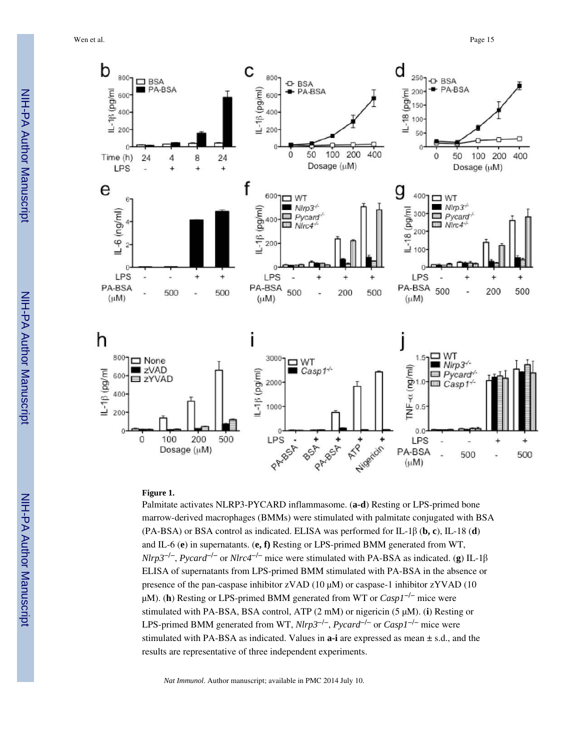Wen et al. Page 15



#### **Figure 1.**

Palmitate activates NLRP3-PYCARD inflammasome. (**a-d**) Resting or LPS-primed bone marrow-derived macrophages (BMMs) were stimulated with palmitate conjugated with BSA (PA-BSA) or BSA control as indicated. ELISA was performed for IL-1β (**b, c**), IL-18 (**d**) and IL-6 (**e**) in supernatants. (**e, f)** Resting or LPS-primed BMM generated from WT, *Nlrp3*−/−, *Pycard*−/− or *Nlrc4*−/− mice were stimulated with PA-BSA as indicated. (**g**) IL-1β ELISA of supernatants from LPS-primed BMM stimulated with PA-BSA in the absence or presence of the pan-caspase inhibitor  $zVAD$  (10  $\mu$ M) or caspase-1 inhibitor  $zYVAD$  (10 μM). (**h**) Resting or LPS-primed BMM generated from WT or *Casp1*−/− mice were stimulated with PA-BSA, BSA control, ATP (2 mM) or nigericin (5 μM). (**i**) Resting or LPS-primed BMM generated from WT, *Nlrp3*−/−, *Pycard*−/− or *Casp1*−/− mice were stimulated with PA-BSA as indicated. Values in **a-i** are expressed as mean ± s.d., and the results are representative of three independent experiments.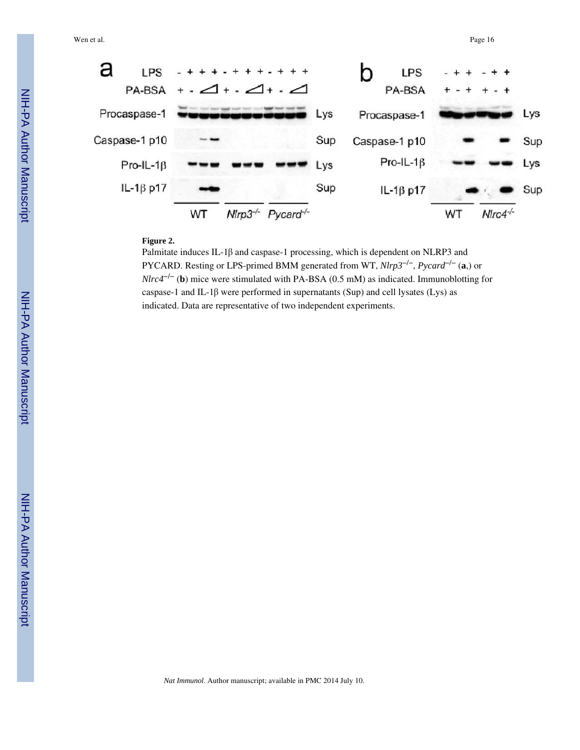

#### **Figure 2.**

Palmitate induces IL-1β and caspase-1 processing, which is dependent on NLRP3 and PYCARD. Resting or LPS-primed BMM generated from WT, *Nlrp3*−/−, *Pycard*−/− (**a**,) or *Nlrc4<sup>-/−</sup>* (**b**) mice were stimulated with PA-BSA (0.5 mM) as indicated. Immunoblotting for caspase-1 and IL-1β were performed in supernatants (Sup) and cell lysates (Lys) as indicated. Data are representative of two independent experiments.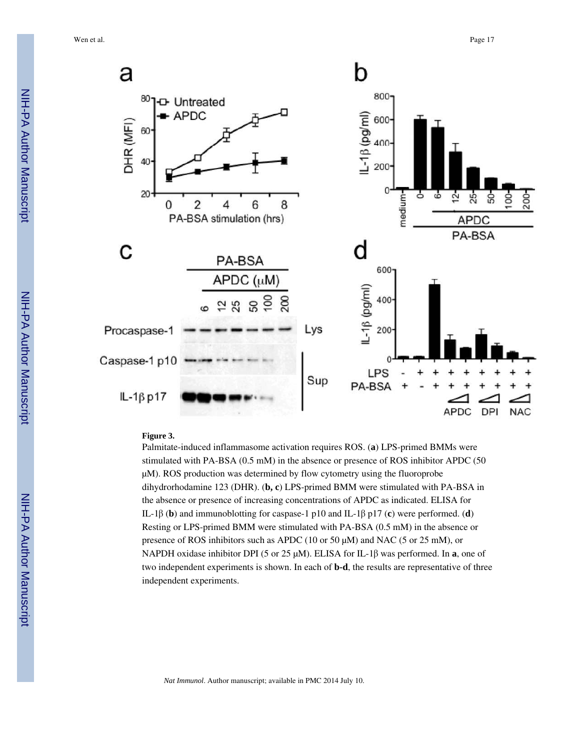

#### **Figure 3.**

Palmitate-induced inflammasome activation requires ROS. (**a**) LPS-primed BMMs were stimulated with PA-BSA (0.5 mM) in the absence or presence of ROS inhibitor APDC (50 μM). ROS production was determined by flow cytometry using the fluoroprobe dihydrorhodamine 123 (DHR). (**b, c**) LPS-primed BMM were stimulated with PA-BSA in the absence or presence of increasing concentrations of APDC as indicated. ELISA for IL-1β (**b**) and immunoblotting for caspase-1 p10 and IL-1β p17 (**c**) were performed. (**d**) Resting or LPS-primed BMM were stimulated with PA-BSA (0.5 mM) in the absence or presence of ROS inhibitors such as APDC (10 or 50 μM) and NAC (5 or 25 mM), or NAPDH oxidase inhibitor DPI (5 or 25 μM). ELISA for IL-1β was performed. In **a**, one of two independent experiments is shown. In each of **b-d**, the results are representative of three independent experiments.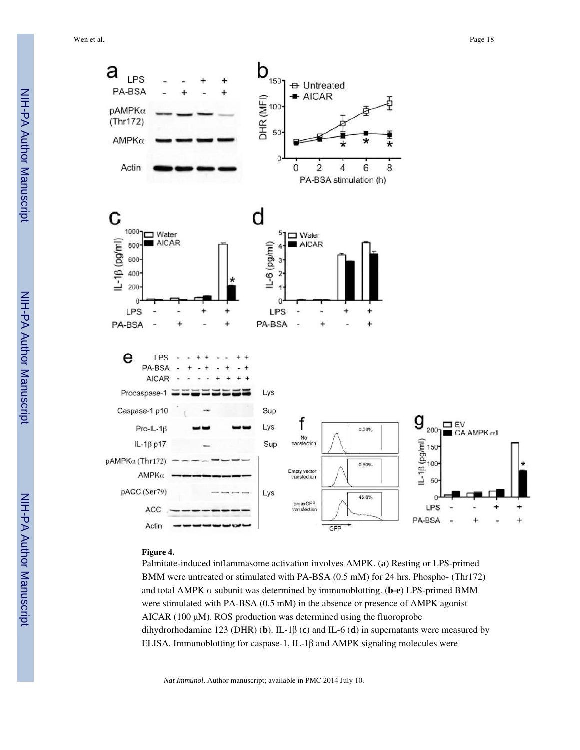

#### **Figure 4.**

Palmitate-induced inflammasome activation involves AMPK. (**a**) Resting or LPS-primed BMM were untreated or stimulated with PA-BSA (0.5 mM) for 24 hrs. Phospho- (Thr172) and total AMPK α subunit was determined by immunoblotting. (**b-e**) LPS-primed BMM were stimulated with PA-BSA (0.5 mM) in the absence or presence of AMPK agonist AICAR (100 μM). ROS production was determined using the fluoroprobe dihydrorhodamine 123 (DHR) (**b**). IL-1β (**c**) and IL-6 (**d**) in supernatants were measured by ELISA. Immunoblotting for caspase-1, IL-1β and AMPK signaling molecules were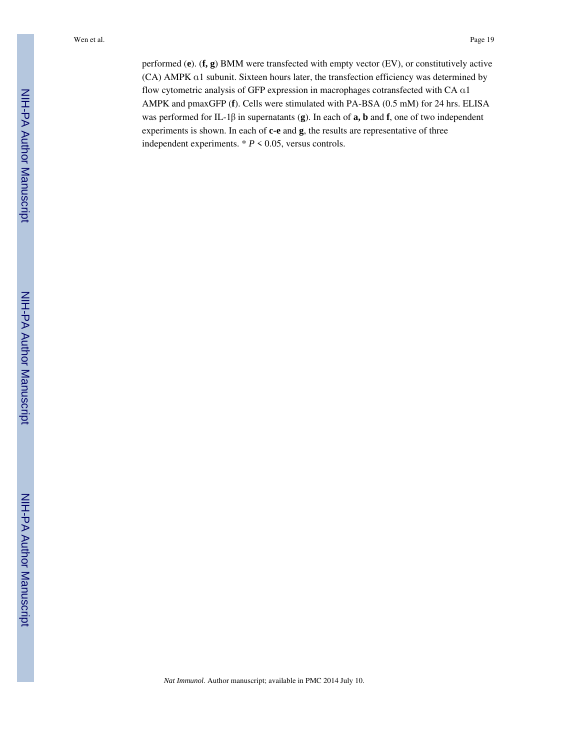performed (**e**). (**f, g**) BMM were transfected with empty vector (EV), or constitutively active (CA) AMPK α1 subunit. Sixteen hours later, the transfection efficiency was determined by flow cytometric analysis of GFP expression in macrophages cotransfected with CA α1 AMPK and pmaxGFP (**f**). Cells were stimulated with PA-BSA (0.5 mM) for 24 hrs. ELISA was performed for IL-1β in supernatants (**g**). In each of **a, b** and **f**, one of two independent experiments is shown. In each of **c-e** and **g**, the results are representative of three independent experiments.  $* P \le 0.05$ , versus controls.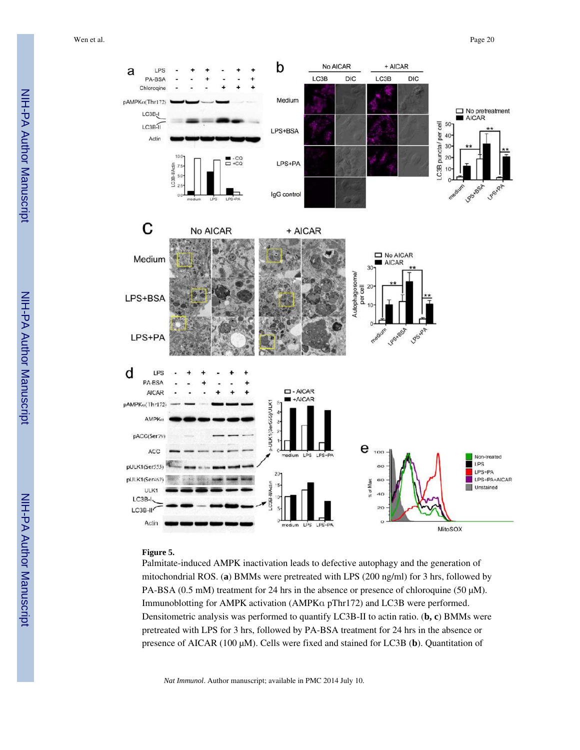

#### **Figure 5.**

Palmitate-induced AMPK inactivation leads to defective autophagy and the generation of mitochondrial ROS. (**a**) BMMs were pretreated with LPS (200 ng/ml) for 3 hrs, followed by PA-BSA (0.5 mM) treatment for 24 hrs in the absence or presence of chloroquine (50 μM). Immunoblotting for AMPK activation (AMPKα pThr172) and LC3B were performed. Densitometric analysis was performed to quantify LC3B-II to actin ratio. (**b, c**) BMMs were pretreated with LPS for 3 hrs, followed by PA-BSA treatment for 24 hrs in the absence or presence of AICAR (100 μM). Cells were fixed and stained for LC3B (**b**). Quantitation of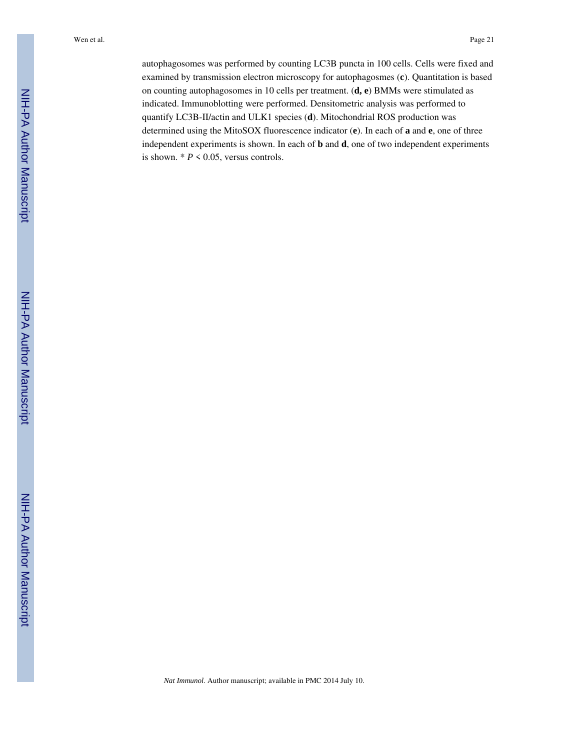autophagosomes was performed by counting LC3B puncta in 100 cells. Cells were fixed and examined by transmission electron microscopy for autophagosmes (**c**). Quantitation is based on counting autophagosomes in 10 cells per treatment. (**d, e**) BMMs were stimulated as indicated. Immunoblotting were performed. Densitometric analysis was performed to quantify LC3B-II/actin and ULK1 species (**d**). Mitochondrial ROS production was determined using the MitoSOX fluorescence indicator (**e**). In each of **a** and **e**, one of three independent experiments is shown. In each of **b** and **d**, one of two independent experiments is shown.  $* P \leq 0.05$ , versus controls.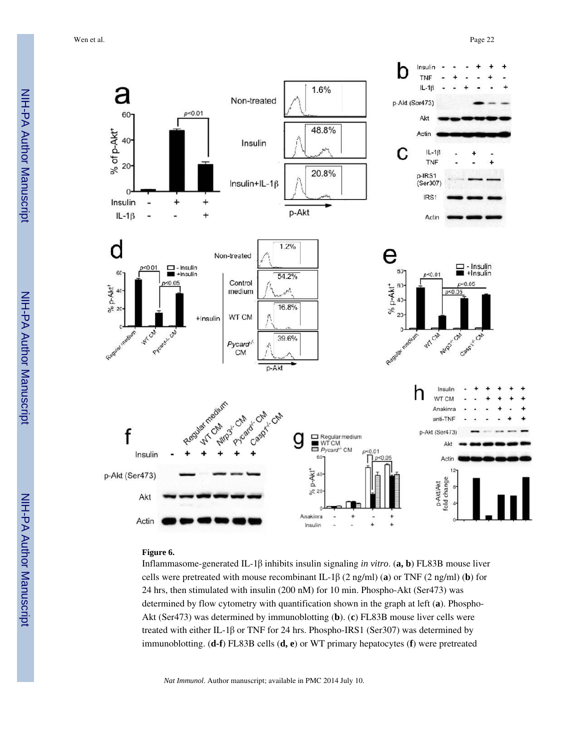

### **Figure 6.**

Inflammasome-generated IL-1β inhibits insulin signaling *in vitro*. (**a, b**) FL83B mouse liver cells were pretreated with mouse recombinant IL-1β (2 ng/ml) (**a**) or TNF (2 ng/ml) (**b**) for 24 hrs, then stimulated with insulin (200 nM) for 10 min. Phospho-Akt (Ser473) was determined by flow cytometry with quantification shown in the graph at left (**a**). Phospho-Akt (Ser473) was determined by immunoblotting (**b**). (**c**) FL83B mouse liver cells were treated with either IL-1β or TNF for 24 hrs. Phospho-IRS1 (Ser307) was determined by immunoblotting. (**d-f**) FL83B cells (**d, e**) or WT primary hepatocytes (**f**) were pretreated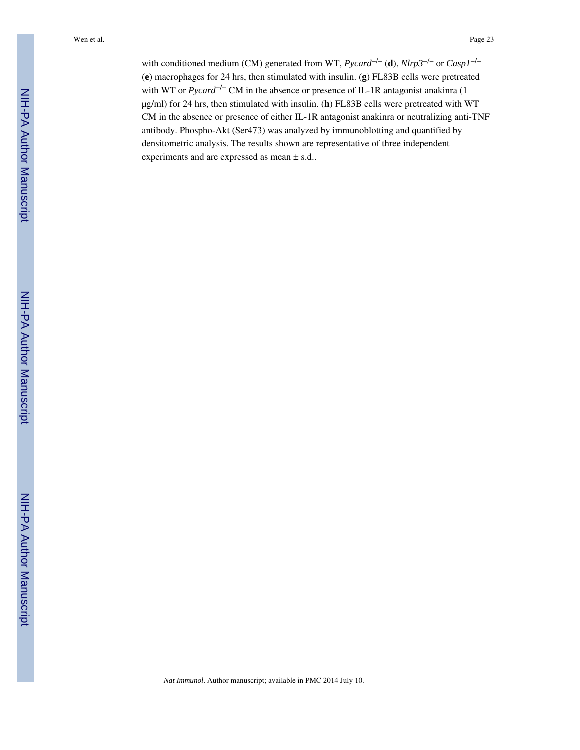with conditioned medium (CM) generated from WT, *Pycard*−/− (**d**), *Nlrp3*−/− or *Casp1*−/− (**e**) macrophages for 24 hrs, then stimulated with insulin. (**g**) FL83B cells were pretreated with WT or *Pycard<sup>-/−</sup>* CM in the absence or presence of IL-1R antagonist anakinra (1 μg/ml) for 24 hrs, then stimulated with insulin. (**h**) FL83B cells were pretreated with WT CM in the absence or presence of either IL-1R antagonist anakinra or neutralizing anti-TNF antibody. Phospho-Akt (Ser473) was analyzed by immunoblotting and quantified by densitometric analysis. The results shown are representative of three independent experiments and are expressed as mean ± s.d..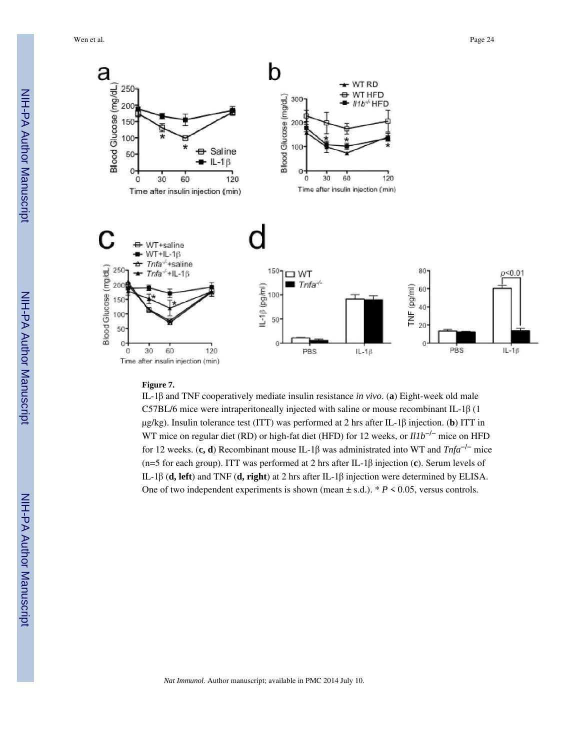Wen et al. Page 24



#### **Figure 7.**

IL-1β and TNF cooperatively mediate insulin resistance *in vivo*. (**a**) Eight-week old male C57BL/6 mice were intraperitoneally injected with saline or mouse recombinant IL-1 $\beta$  (1 μg/kg). Insulin tolerance test (ITT) was performed at 2 hrs after IL-1β injection. (**b**) ITT in WT mice on regular diet (RD) or high-fat diet (HFD) for 12 weeks, or *Il1b<sup>-/−</sup>* mice on HFD for 12 weeks. (**c, d**) Recombinant mouse IL-1β was administrated into WT and *Tnfa*−/− mice (n=5 for each group). ITT was performed at 2 hrs after IL-1β injection (**c**). Serum levels of IL-1β (**d, left**) and TNF (**d, right**) at 2 hrs after IL-1β injection were determined by ELISA. One of two independent experiments is shown (mean  $\pm$  s.d.). \* *P* < 0.05, versus controls.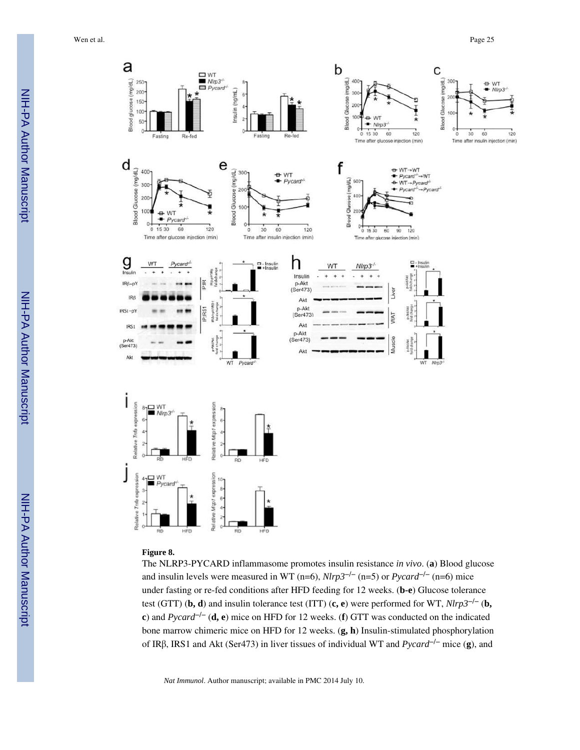

#### **Figure 8.**

The NLRP3-PYCARD inflammasome promotes insulin resistance *in vivo*. (**a**) Blood glucose and insulin levels were measured in WT (n=6),  $Nlrp3^{-/-}$  (n=5) or  $Pycard^{-/-}$  (n=6) mice under fasting or re-fed conditions after HFD feeding for 12 weeks. (**b-e**) Glucose tolerance test (GTT) (**b, d**) and insulin tolerance test (ITT) (**c, e**) were performed for WT, *Nlrp3*−/− (**b, c**) and *Pycard*−/− (**d, e**) mice on HFD for 12 weeks. (**f**) GTT was conducted on the indicated bone marrow chimeric mice on HFD for 12 weeks. (**g, h**) Insulin-stimulated phosphorylation of IRβ, IRS1 and Akt (Ser473) in liver tissues of individual WT and *Pycard*−/− mice (**g**), and